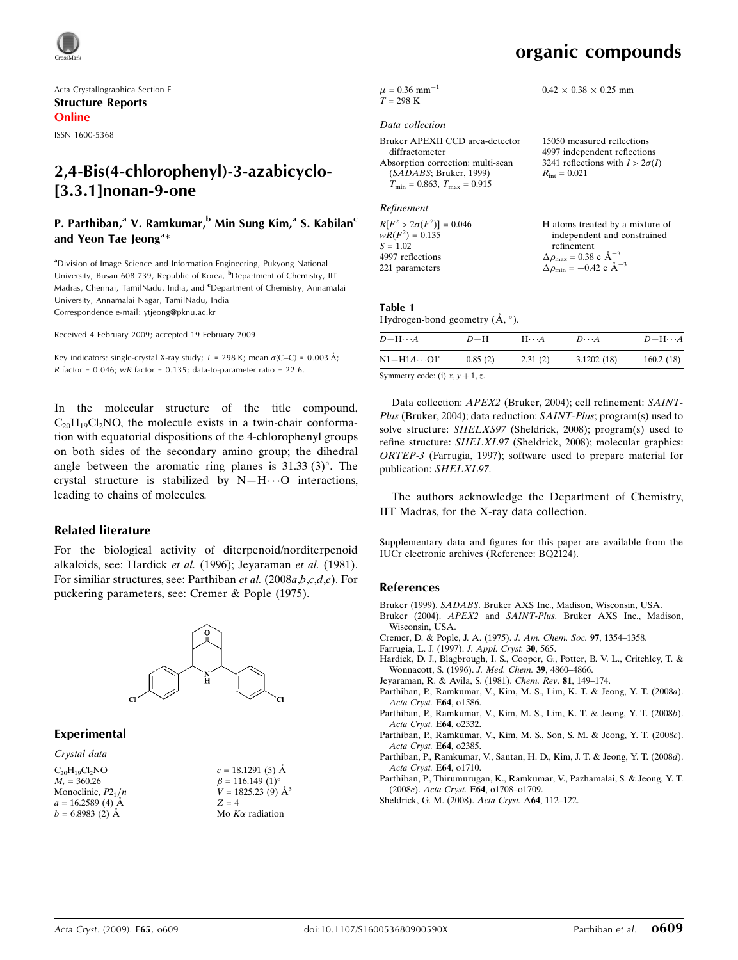

Acta Crystallographica Section E Structure Reports Online

ISSN 1600-5368

# 2,4-Bis(4-chlorophenyl)-3-azabicyclo- [3.3.1]nonan-9-one

### P. Parthiban,<sup>a</sup> V. Ramkumar,<sup>b</sup> Min Sung Kim,<sup>a</sup> S. Kabilan<sup>c</sup> and Yeon Tae Jeong<sup>a\*</sup>

<sup>a</sup>Division of Image Science and Information Engineering, Pukyong National University, Busan 608 739, Republic of Korea, <sup>b</sup>Department of Chemistry, IIT Madras, Chennai, TamilNadu, India, and <sup>c</sup>Department of Chemistry, Annamalai University, Annamalai Nagar, TamilNadu, India Correspondence e-mail: ytjeong@pknu.ac.kr

Received 4 February 2009; accepted 19 February 2009

Key indicators: single-crystal X-ray study;  $T = 298$  K; mean  $\sigma$ (C–C) = 0.003 Å; R factor =  $0.046$ ; wR factor =  $0.135$ ; data-to-parameter ratio = 22.6.

In the molecular structure of the title compound,  $C_{20}H_{19}Cl_2NO$ , the molecule exists in a twin-chair conformation with equatorial dispositions of the 4-chlorophenyl groups on both sides of the secondary amino group; the dihedral angle between the aromatic ring planes is  $31.33\,(3)^\circ$ . The crystal structure is stabilized by  $N-H\cdots O$  interactions, leading to chains of molecules.

#### Related literature

For the biological activity of diterpenoid/norditerpenoid alkaloids, see: Hardick et al. (1996); Jeyaraman et al. (1981). For similiar structures, see: Parthiban et al. (2008a,b,c,d,e). For puckering parameters, see: Cremer & Pople (1975).



#### Experimental

Crystal data  $C_{20}H_{19}Cl_2NO$  $M_r = 360.26$ Monoclinic,  $P2_1/n$  $a = 16.2589(4)$  A  $b = 6.8983(2)$  Å



|         | $V = 1825.23(9)$ $\AA^3$ |
|---------|--------------------------|
| $Z = 4$ |                          |
|         | Mo $K\alpha$ radiation   |

 $0.42 \times 0.38 \times 0.25$  mm

 $\mu$  = 0.36 mm<sup>-1</sup>  $T = 298 \text{ K}$ 

#### Data collection

| Bruker APEXII CCD area-detector                  | 15050 measured reflections             |
|--------------------------------------------------|----------------------------------------|
| diffractometer                                   | 4997 independent reflections           |
| Absorption correction: multi-scan                | 3241 reflections with $I > 2\sigma(I)$ |
| (SADABS; Bruker, 1999)                           | $R_{\rm int} = 0.021$                  |
| $T_{\text{min}} = 0.863, T_{\text{max}} = 0.915$ |                                        |

#### Refinement

| $R[F^2 > 2\sigma(F^2)] = 0.046$ | H atoms treated by a mixture of                    |
|---------------------------------|----------------------------------------------------|
| $wR(F^2) = 0.135$               | independent and constrained                        |
| $S = 1.02$                      | refinement                                         |
| 4997 reflections                | $\Delta \rho_{\text{max}} = 0.38 \text{ e A}^{-3}$ |
| 221 parameters                  | $\Delta \rho_{\rm min} = -0.42$ e $\rm \AA^{-3}$   |
|                                 |                                                    |

## Table 1

Hydrogen-bond geometry  $(\mathring{A}, \degree)$ .

| $D$ — $H \cdots A$                | $D-H$   | $H\cdots A$ | $D\cdots A$ | $D - H \cdots A$ |
|-----------------------------------|---------|-------------|-------------|------------------|
| $N1 - H1A \cdots O1^1$            | 0.85(2) | 2.31(2)     | 3.1202(18)  | 160.2(18)        |
| $\alpha$ $\beta$ $\beta$ $\gamma$ |         |             |             |                  |

Symmetry code: (i)  $x, y + 1, z$ .

Data collection: APEX2 (Bruker, 2004); cell refinement: SAINT-Plus (Bruker, 2004); data reduction: SAINT-Plus; program(s) used to solve structure: SHELXS97 (Sheldrick, 2008); program(s) used to refine structure: SHELXL97 (Sheldrick, 2008); molecular graphics: ORTEP-3 (Farrugia, 1997); software used to prepare material for publication: SHELXL97.

The authors acknowledge the Department of Chemistry, IIT Madras, for the X-ray data collection.

Supplementary data and figures for this paper are available from the IUCr electronic archives (Reference: BQ2124).

#### References

- Bruker (1999). SADABS. Bruker AXS Inc., Madison, Wisconsin, USA.
- Bruker (2004). APEX2 and SAINT-Plus. Bruker AXS Inc., Madison, Wisconsin, USA.
- Cremer, D. & Pople, J. A. (1975). J. Am. Chem. Soc. 97, 1354–1358.
- Farrugia, L. J. (1997). J. Appl. Cryst. 30, 565.
- Hardick, D. J., Blagbrough, I. S., Cooper, G., Potter, B. V. L., Critchley, T. & Wonnacott, S. (1996). J. Med. Chem. 39, 4860–4866.
- Jeyaraman, R. & Avila, S. (1981). Chem. Rev. 81, 149–174.
- Parthiban, P., Ramkumar, V., Kim, M. S., Lim, K. T. & Jeong, Y. T. (2008a). Acta Cryst. E64, o1586.
- Parthiban, P., Ramkumar, V., Kim, M. S., Lim, K. T. & Jeong, Y. T. (2008b). Acta Cryst. E64, o2332.
- Parthiban, P., Ramkumar, V., Kim, M. S., Son, S. M. & Jeong, Y. T. (2008c). Acta Cryst. E64, o2385.
- Parthiban, P., Ramkumar, V., Santan, H. D., Kim, J. T. & Jeong, Y. T. (2008d). Acta Cryst. E64, o1710.
- Parthiban, P., Thirumurugan, K., Ramkumar, V., Pazhamalai, S. & Jeong, Y. T. (2008e). Acta Cryst. E64, o1708–o1709.
- Sheldrick, G. M. (2008). Acta Cryst. A64, 112–122.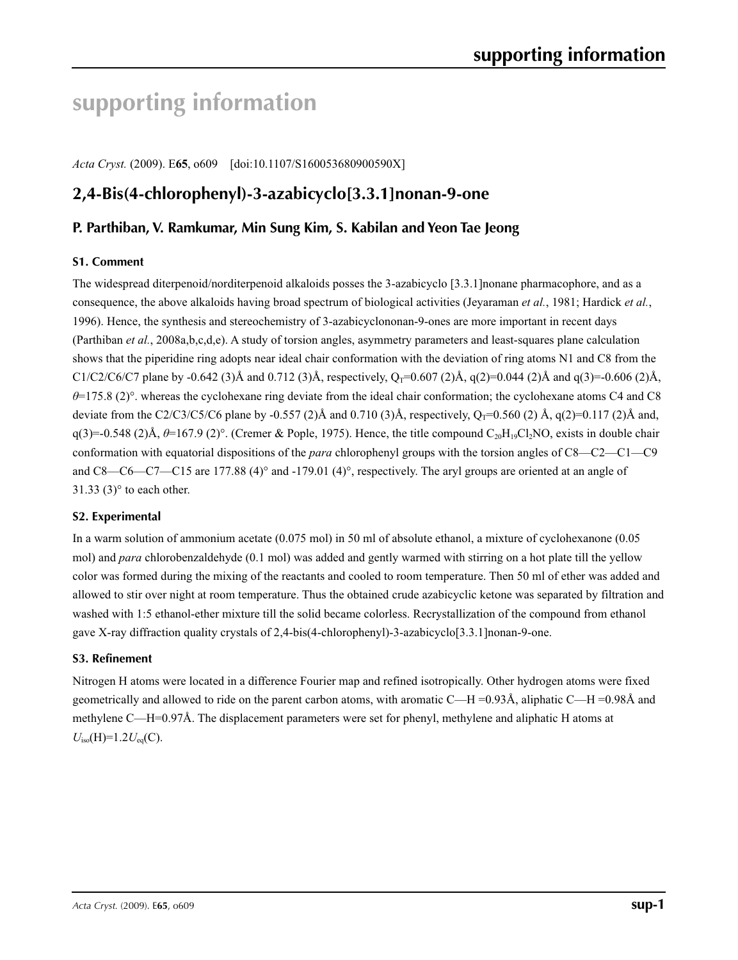# **supporting information**

*Acta Cryst.* (2009). E**65**, o609 [doi:10.1107/S160053680900590X]

# **2,4-Bis(4-chlorophenyl)-3-azabicyclo[3.3.1]nonan-9-one**

## **P. Parthiban, V. Ramkumar, Min Sung Kim, S. Kabilan and Yeon Tae Jeong**

#### **S1. Comment**

The widespread diterpenoid/norditerpenoid alkaloids posses the 3-azabicyclo [3.3.1]nonane pharmacophore, and as a consequence, the above alkaloids having broad spectrum of biological activities (Jeyaraman *et al.*, 1981; Hardick *et al.*, 1996). Hence, the synthesis and stereochemistry of 3-azabicyclononan-9-ones are more important in recent days (Parthiban *et al.*, 2008a,b,c,d,e). A study of torsion angles, asymmetry parameters and least-squares plane calculation shows that the piperidine ring adopts near ideal chair conformation with the deviation of ring atoms N1 and C8 from the C1/C2/C6/C7 plane by -0.642 (3)Å and 0.712 (3)Å, respectively,  $Q_T=0.607$  (2)Å,  $q(2)=0.044$  (2)Å and  $q(3)=0.606$  (2)Å, *θ*=175.8 (2)°. whereas the cyclohexane ring deviate from the ideal chair conformation; the cyclohexane atoms C4 and C8 deviate from the C2/C3/C5/C6 plane by -0.557 (2)Å and 0.710 (3)Å, respectively,  $Q_T$ =0.560 (2) Å, q(2)=0.117 (2)Å and,  $q(3) = -0.548$  (2)Å,  $\theta = 167.9$  (2)°. (Cremer & Pople, 1975). Hence, the title compound C<sub>20</sub>H<sub>19</sub>Cl<sub>2</sub>NO, exists in double chair conformation with equatorial dispositions of the *para* chlorophenyl groups with the torsion angles of C8—C2—C1—C9 and C8—C6—C7—C15 are 177.88 (4)° and -179.01 (4)°, respectively. The aryl groups are oriented at an angle of 31.33 $(3)°$  to each other.

#### **S2. Experimental**

In a warm solution of ammonium acetate (0.075 mol) in 50 ml of absolute ethanol, a mixture of cyclohexanone (0.05 mol) and *para* chlorobenzaldehyde (0.1 mol) was added and gently warmed with stirring on a hot plate till the yellow color was formed during the mixing of the reactants and cooled to room temperature. Then 50 ml of ether was added and allowed to stir over night at room temperature. Thus the obtained crude azabicyclic ketone was separated by filtration and washed with 1:5 ethanol-ether mixture till the solid became colorless. Recrystallization of the compound from ethanol gave X-ray diffraction quality crystals of 2,4-bis(4-chlorophenyl)-3-azabicyclo[3.3.1]nonan-9-one.

#### **S3. Refinement**

Nitrogen H atoms were located in a difference Fourier map and refined isotropically. Other hydrogen atoms were fixed geometrically and allowed to ride on the parent carbon atoms, with aromatic C—H =0.93Å, aliphatic C—H =0.98Å and methylene C—H=0.97Å. The displacement parameters were set for phenyl, methylene and aliphatic H atoms at  $U_{\text{iso}}(H)=1.2U_{\text{eq}}(C).$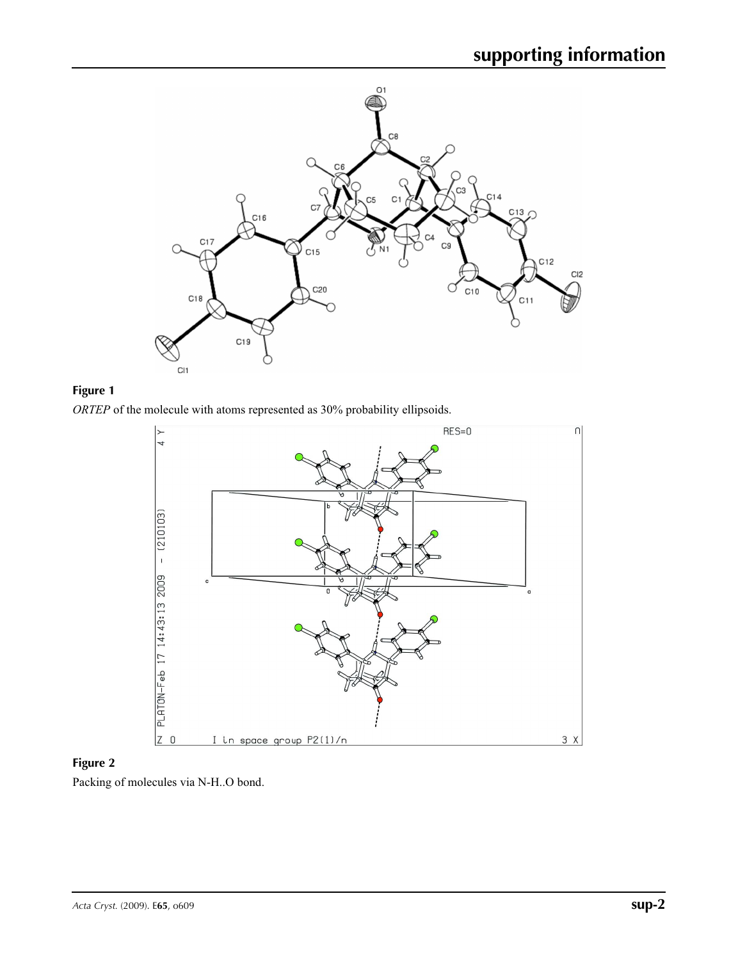

# **Figure 1**

*ORTEP* of the molecule with atoms represented as 30% probability ellipsoids.



# **Figure 2**

Packing of molecules via N-H..O bond.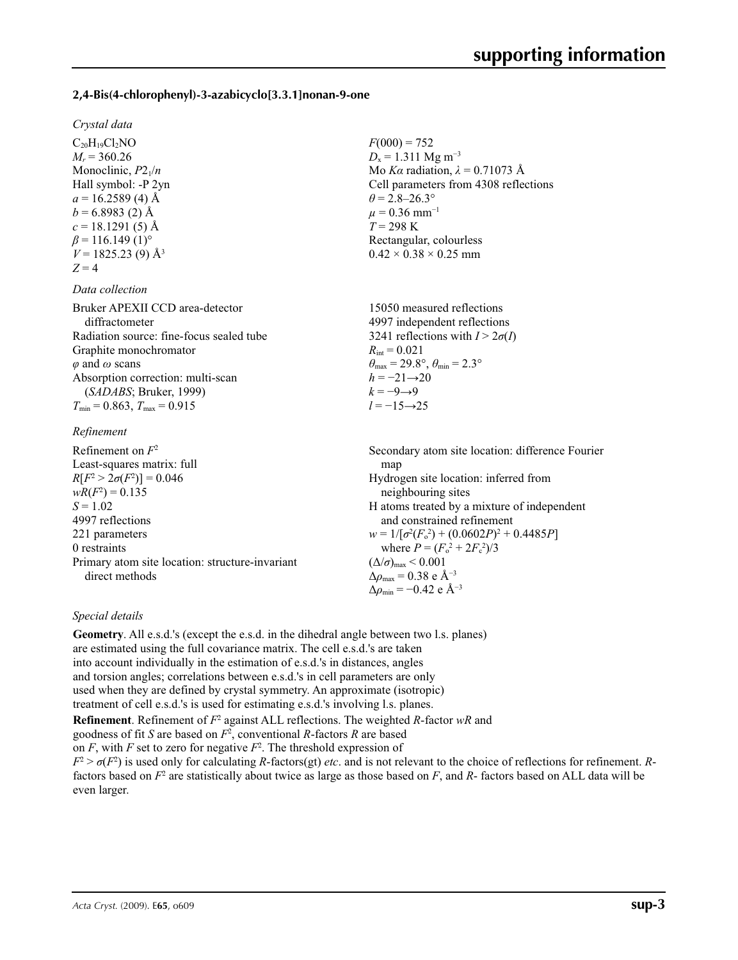#### **2,4-Bis(4-chlorophenyl)-3-azabicyclo[3.3.1]nonan-9-one**

#### *Crystal data*

 $C_{20}H_{19}Cl_2NO$  $M_r = 360.26$ Monoclinic,  $P2_1/n$ Hall symbol: -P 2yn  $a = 16.2589(4)$  Å  $b = 6.8983(2)$  Å  $c = 18.1291(5)$  Å  $\beta$  = 116.149 (1)<sup>o</sup>  $V = 1825.23(9)$  Å<sup>3</sup>  $Z = 4$ 

#### *Data collection*

Bruker APEXII CCD area-detector diffractometer Radiation source: fine-focus sealed tube Graphite monochromator *φ* and *ω* scans Absorption correction: multi-scan (*SADABS*; Bruker, 1999)  $T_{\text{min}} = 0.863$ ,  $T_{\text{max}} = 0.915$ 

#### *Refinement*

Refinement on *F*<sup>2</sup> Least-squares matrix: full *R*[ $F^2 > 2\sigma(F^2)$ ] = 0.046  $wR(F^2) = 0.135$  $S = 1.02$ 4997 reflections 221 parameters 0 restraints Primary atom site location: structure-invariant direct methods map Hydrogen site location: inferred from neighbouring sites and constrained refinement where  $P = (F_o^2 + 2F_c^2)/3$  $(\Delta/\sigma)_{\text{max}}$  < 0.001 Δ*ρ*max = 0.38 e Å−3 Δ*ρ*min = −0.42 e Å−3

#### *Special details*

**Geometry**. All e.s.d.'s (except the e.s.d. in the dihedral angle between two l.s. planes) are estimated using the full covariance matrix. The cell e.s.d.'s are taken into account individually in the estimation of e.s.d.'s in distances, angles and torsion angles; correlations between e.s.d.'s in cell parameters are only used when they are defined by crystal symmetry. An approximate (isotropic) treatment of cell e.s.d.'s is used for estimating e.s.d.'s involving l.s. planes.

**Refinement**. Refinement of  $F^2$  against ALL reflections. The weighted *R*-factor wR and goodness of fit *S* are based on *F*<sup>2</sup> , conventional *R*-factors *R* are based on  $F$ , with  $F$  set to zero for negative  $F^2$ . The threshold expression of  $F^2 > \sigma(F^2)$  is used only for calculating *R*-factors(gt) *etc*. and is not relevant to the choice of reflections for refinement. *R*factors based on  $F^2$  are statistically about twice as large as those based on F, and R- factors based on ALL data will be even larger.

 $F(000) = 752$  $D_x = 1.311$  Mg m<sup>-3</sup> Mo *Kα* radiation, *λ* = 0.71073 Å Cell parameters from 4308 reflections  $\theta$  = 2.8–26.3°  $\mu$  = 0.36 mm<sup>-1</sup> *T* = 298 K Rectangular, colourless  $0.42 \times 0.38 \times 0.25$  mm

15050 measured reflections 4997 independent reflections 3241 reflections with  $I > 2\sigma(I)$  $R_{\text{int}} = 0.021$  $\theta_{\text{max}} = 29.8^{\circ}, \theta_{\text{min}} = 2.3^{\circ}$  $h = -21 \rightarrow 20$  $k = -9 \rightarrow 9$ *l* = −15→25

Secondary atom site location: difference Fourier H atoms treated by a mixture of independent  $w = 1/[\sigma^2 (F_o^2) + (0.0602P)^2 + 0.4485P]$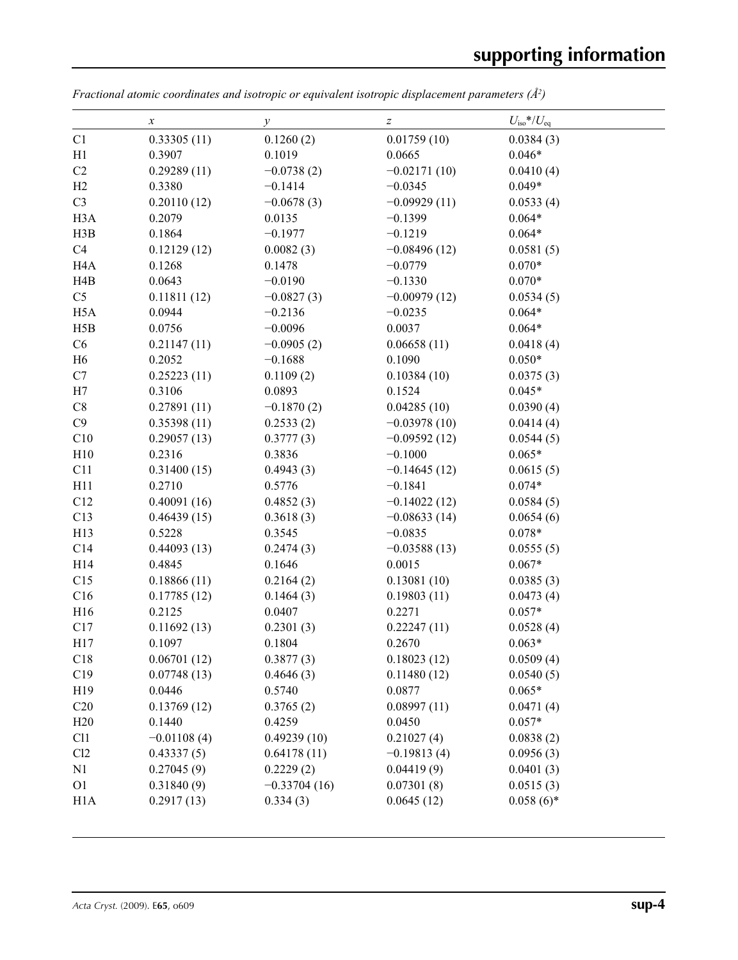|                  | х             | $\mathcal{Y}$  | $\boldsymbol{Z}$ | $U_{\rm iso}*/U_{\rm eq}$ |  |
|------------------|---------------|----------------|------------------|---------------------------|--|
| C1               | 0.33305(11)   | 0.1260(2)      | 0.01759(10)      | 0.0384(3)                 |  |
| H1               | 0.3907        | 0.1019         | 0.0665           | $0.046*$                  |  |
| C <sub>2</sub>   | 0.29289(11)   | $-0.0738(2)$   | $-0.02171(10)$   | 0.0410(4)                 |  |
| H2               | 0.3380        | $-0.1414$      | $-0.0345$        | $0.049*$                  |  |
| C <sub>3</sub>   | 0.20110(12)   | $-0.0678(3)$   | $-0.09929(11)$   | 0.0533(4)                 |  |
| H <sub>3</sub> A | 0.2079        | 0.0135         | $-0.1399$        | $0.064*$                  |  |
| H3B              | 0.1864        | $-0.1977$      | $-0.1219$        | $0.064*$                  |  |
| C4               | 0.12129(12)   | 0.0082(3)      | $-0.08496(12)$   | 0.0581(5)                 |  |
| H <sub>4</sub> A | 0.1268        | 0.1478         | $-0.0779$        | $0.070*$                  |  |
| H4B              | 0.0643        | $-0.0190$      | $-0.1330$        | $0.070*$                  |  |
| C <sub>5</sub>   | 0.11811(12)   | $-0.0827(3)$   | $-0.00979(12)$   | 0.0534(5)                 |  |
| H <sub>5</sub> A | 0.0944        | $-0.2136$      | $-0.0235$        | $0.064*$                  |  |
| H5B              | 0.0756        | $-0.0096$      | 0.0037           | $0.064*$                  |  |
| C6               | 0.21147(11)   | $-0.0905(2)$   | 0.06658(11)      | 0.0418(4)                 |  |
| H <sub>6</sub>   | 0.2052        | $-0.1688$      | 0.1090           | $0.050*$                  |  |
| C7               | 0.25223(11)   | 0.1109(2)      | 0.10384(10)      | 0.0375(3)                 |  |
| H7               | 0.3106        | 0.0893         | 0.1524           | $0.045*$                  |  |
| C8               | 0.27891(11)   | $-0.1870(2)$   | 0.04285(10)      | 0.0390(4)                 |  |
| C9               | 0.35398(11)   | 0.2533(2)      | $-0.03978(10)$   | 0.0414(4)                 |  |
| C10              | 0.29057(13)   | 0.3777(3)      | $-0.09592(12)$   | 0.0544(5)                 |  |
| H10              | 0.2316        | 0.3836         | $-0.1000$        | $0.065*$                  |  |
| C11              | 0.31400(15)   | 0.4943(3)      | $-0.14645(12)$   | 0.0615(5)                 |  |
| H11              | 0.2710        | 0.5776         | $-0.1841$        | $0.074*$                  |  |
| C12              | 0.40091(16)   | 0.4852(3)      | $-0.14022(12)$   | 0.0584(5)                 |  |
| C13              | 0.46439(15)   | 0.3618(3)      | $-0.08633(14)$   | 0.0654(6)                 |  |
| H13              | 0.5228        | 0.3545         | $-0.0835$        | $0.078*$                  |  |
| C14              | 0.44093(13)   | 0.2474(3)      | $-0.03588(13)$   | 0.0555(5)                 |  |
| H14              | 0.4845        | 0.1646         | 0.0015           | $0.067*$                  |  |
| C15              | 0.18866(11)   | 0.2164(2)      | 0.13081(10)      | 0.0385(3)                 |  |
| C16              | 0.17785(12)   | 0.1464(3)      | 0.19803(11)      | 0.0473(4)                 |  |
| H16              | 0.2125        | 0.0407         | 0.2271           | $0.057*$                  |  |
| C17              | 0.11692(13)   | 0.2301(3)      | 0.22247(11)      | 0.0528(4)                 |  |
| H17              | 0.1097        | 0.1804         | 0.2670           | $0.063*$                  |  |
| C18              | 0.06701(12)   | 0.3877(3)      | 0.18023(12)      | 0.0509(4)                 |  |
| C19              | 0.07748(13)   | 0.4646(3)      | 0.11480(12)      | 0.0540(5)                 |  |
| H19              | 0.0446        | 0.5740         | 0.0877           | $0.065*$                  |  |
| C20              | 0.13769(12)   | 0.3765(2)      | 0.08997(11)      | 0.0471(4)                 |  |
| H20              | 0.1440        | 0.4259         | 0.0450           | $0.057*$                  |  |
| C11              | $-0.01108(4)$ | 0.49239(10)    | 0.21027(4)       | 0.0838(2)                 |  |
| Cl2              | 0.43337(5)    | 0.64178(11)    | $-0.19813(4)$    | 0.0956(3)                 |  |
| N1               | 0.27045(9)    | 0.2229(2)      | 0.04419(9)       | 0.0401(3)                 |  |
| O <sub>1</sub>   | 0.31840(9)    | $-0.33704(16)$ | 0.07301(8)       | 0.0515(3)                 |  |
| H <sub>1</sub> A | 0.2917(13)    | 0.334(3)       | 0.0645(12)       | $0.058(6)$ *              |  |
|                  |               |                |                  |                           |  |

*Fractional atomic coordinates and isotropic or equivalent isotropic displacement parameters (Å<sup>2</sup>)*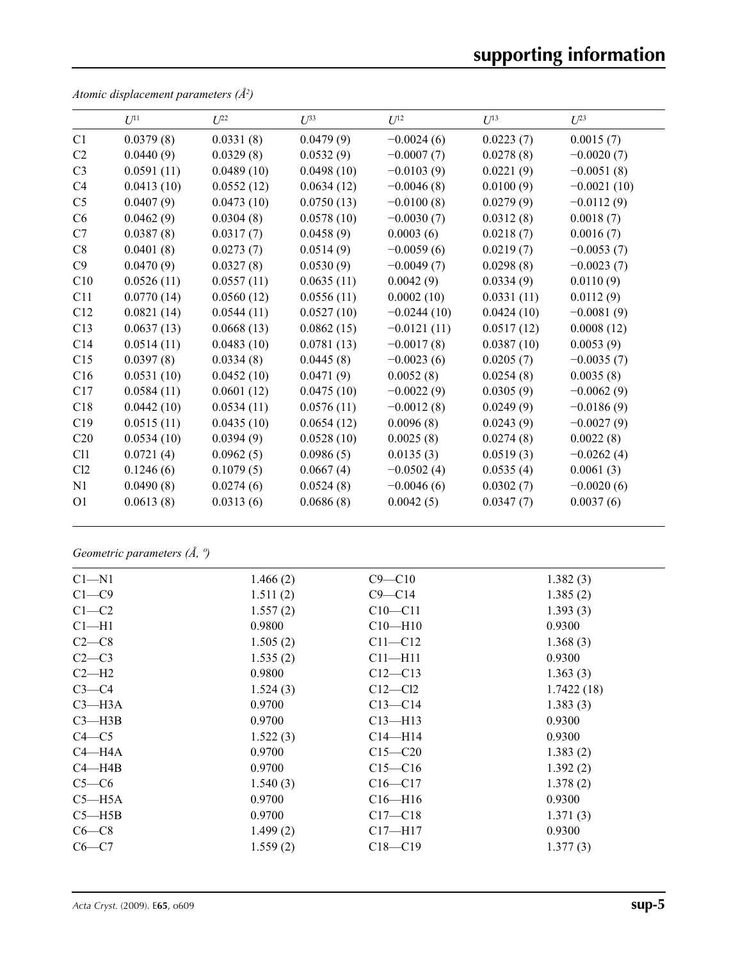|                | $U^{11}$   | $U^{22}$   | $U^{33}$   | $U^{12}$      | $U^{13}$   | $U^{23}$      |
|----------------|------------|------------|------------|---------------|------------|---------------|
| C1             | 0.0379(8)  | 0.0331(8)  | 0.0479(9)  | $-0.0024(6)$  | 0.0223(7)  | 0.0015(7)     |
| C2             | 0.0440(9)  | 0.0329(8)  | 0.0532(9)  | $-0.0007(7)$  | 0.0278(8)  | $-0.0020(7)$  |
| C <sub>3</sub> | 0.0591(11) | 0.0489(10) | 0.0498(10) | $-0.0103(9)$  | 0.0221(9)  | $-0.0051(8)$  |
| C4             | 0.0413(10) | 0.0552(12) | 0.0634(12) | $-0.0046(8)$  | 0.0100(9)  | $-0.0021(10)$ |
| C <sub>5</sub> | 0.0407(9)  | 0.0473(10) | 0.0750(13) | $-0.0100(8)$  | 0.0279(9)  | $-0.0112(9)$  |
| C6             | 0.0462(9)  | 0.0304(8)  | 0.0578(10) | $-0.0030(7)$  | 0.0312(8)  | 0.0018(7)     |
| C7             | 0.0387(8)  | 0.0317(7)  | 0.0458(9)  | 0.0003(6)     | 0.0218(7)  | 0.0016(7)     |
| C8             | 0.0401(8)  | 0.0273(7)  | 0.0514(9)  | $-0.0059(6)$  | 0.0219(7)  | $-0.0053(7)$  |
| C9             | 0.0470(9)  | 0.0327(8)  | 0.0530(9)  | $-0.0049(7)$  | 0.0298(8)  | $-0.0023(7)$  |
| C10            | 0.0526(11) | 0.0557(11) | 0.0635(11) | 0.0042(9)     | 0.0334(9)  | 0.0110(9)     |
| C11            | 0.0770(14) | 0.0560(12) | 0.0556(11) | 0.0002(10)    | 0.0331(11) | 0.0112(9)     |
| C12            | 0.0821(14) | 0.0544(11) | 0.0527(10) | $-0.0244(10)$ | 0.0424(10) | $-0.0081(9)$  |
| C13            | 0.0637(13) | 0.0668(13) | 0.0862(15) | $-0.0121(11)$ | 0.0517(12) | 0.0008(12)    |
| C14            | 0.0514(11) | 0.0483(10) | 0.0781(13) | $-0.0017(8)$  | 0.0387(10) | 0.0053(9)     |
| C15            | 0.0397(8)  | 0.0334(8)  | 0.0445(8)  | $-0.0023(6)$  | 0.0205(7)  | $-0.0035(7)$  |
| C16            | 0.0531(10) | 0.0452(10) | 0.0471(9)  | 0.0052(8)     | 0.0254(8)  | 0.0035(8)     |
| C17            | 0.0584(11) | 0.0601(12) | 0.0475(10) | $-0.0022(9)$  | 0.0305(9)  | $-0.0062(9)$  |
| C18            | 0.0442(10) | 0.0534(11) | 0.0576(11) | $-0.0012(8)$  | 0.0249(9)  | $-0.0186(9)$  |
| C19            | 0.0515(11) | 0.0435(10) | 0.0654(12) | 0.0096(8)     | 0.0243(9)  | $-0.0027(9)$  |
| C20            | 0.0534(10) | 0.0394(9)  | 0.0528(10) | 0.0025(8)     | 0.0274(8)  | 0.0022(8)     |
| C11            | 0.0721(4)  | 0.0962(5)  | 0.0986(5)  | 0.0135(3)     | 0.0519(3)  | $-0.0262(4)$  |
| Cl2            | 0.1246(6)  | 0.1079(5)  | 0.0667(4)  | $-0.0502(4)$  | 0.0535(4)  | 0.0061(3)     |
| N1             | 0.0490(8)  | 0.0274(6)  | 0.0524(8)  | $-0.0046(6)$  | 0.0302(7)  | $-0.0020(6)$  |
| <b>O1</b>      | 0.0613(8)  | 0.0313(6)  | 0.0686(8)  | 0.0042(5)     | 0.0347(7)  | 0.0037(6)     |
|                |            |            |            |               |            |               |

*Atomic displacement parameters (Å2 )*

# *Geometric parameters (Å, º)*

| $Cl - N1$  | 1.466(2) | $C9 - C10$  | 1.382(3)   |
|------------|----------|-------------|------------|
| $C1 - C9$  | 1.511(2) | $C9 - C14$  | 1.385(2)   |
| $C1-C2$    | 1.557(2) | $C10 - C11$ | 1.393(3)   |
| $Cl-H1$    | 0.9800   | $C10 - H10$ | 0.9300     |
| $C2-C8$    | 1.505(2) | $C11 - C12$ | 1.368(3)   |
| $C2-C3$    | 1.535(2) | $C11 - H11$ | 0.9300     |
| $C2-H2$    | 0.9800   | $C12-C13$   | 1.363(3)   |
| $C3-C4$    | 1.524(3) | $C12-C12$   | 1.7422(18) |
| $C3$ —H3A  | 0.9700   | $C13 - C14$ | 1.383(3)   |
| $C3$ —H3B  | 0.9700   | $C13 - H13$ | 0.9300     |
| $C4 - C5$  | 1.522(3) | $C14 - H14$ | 0.9300     |
| $C4 - H4A$ | 0.9700   | $C15 - C20$ | 1.383(2)   |
| $C4 - H4B$ | 0.9700   | $C15 - C16$ | 1.392(2)   |
| $C5-C6$    | 1.540(3) | $C16 - C17$ | 1.378(2)   |
| $C5 - H5A$ | 0.9700   | $C16 - H16$ | 0.9300     |
| $C5 - H5B$ | 0.9700   | $C17 - C18$ | 1.371(3)   |
| $C6-C8$    | 1.499(2) | $C17 - H17$ | 0.9300     |
| $C6-C7$    | 1.559(2) | $C18 - C19$ | 1.377(3)   |
|            |          |             |            |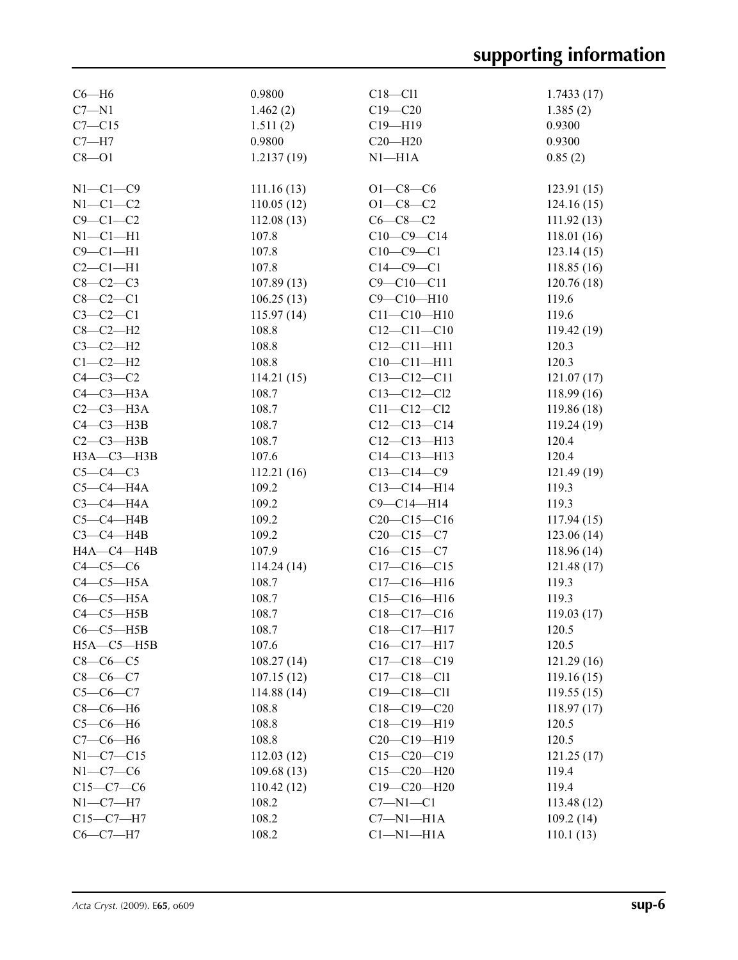| $C6 - H6$        | 0.9800      | $C18 - C11$       | 1.7433(17)  |
|------------------|-------------|-------------------|-------------|
| $C7 - N1$        | 1.462(2)    | $C19 - C20$       | 1.385(2)    |
| $C7 - C15$       | 1.511(2)    | $C19 - H19$       | 0.9300      |
| $C7 - H7$        | 0.9800      | $C20 - H20$       | 0.9300      |
| $C8 - O1$        | 1.2137(19)  | $N1 - H1A$        | 0.85(2)     |
|                  |             |                   |             |
| $N1-C1-C9$       | 111.16(13)  | $O1 - C8 - C6$    | 123.91(15)  |
| $N1-C1-C2$       | 110.05(12)  | $O1 - C8 - C2$    | 124.16(15)  |
| $C9 - C1 - C2$   | 112.08(13)  | $C6-C8-C2$        | 111.92(13)  |
| $N1-C1-H1$       | 107.8       | $C10-C9-C14$      | 118.01(16)  |
| $C9 - C1 - H1$   | 107.8       | $C10-C9-C1$       | 123.14(15)  |
| $C2-C1-H1$       | 107.8       | $C14-C9-C1$       | 118.85(16)  |
| $C8-C2-C3$       | 107.89(13)  | $C9 - C10 - C11$  | 120.76(18)  |
| $C8-C2-C1$       | 106.25(13)  | $C9 - C10 - H10$  | 119.6       |
| $C3-C2-C1$       | 115.97(14)  | $C11 - C10 - H10$ | 119.6       |
| $C8-C2-H2$       | 108.8       | $C12 - C11 - C10$ | 119.42(19)  |
| $C3-C2-H2$       | 108.8       | $C12 - C11 - H11$ | 120.3       |
| $C1-C2-H2$       | 108.8       | $C10 - C11 - H11$ | 120.3       |
| $C4-C3-C2$       | 114.21(15)  | $C13 - C12 - C11$ | 121.07(17)  |
| $C4-C3-H3A$      | 108.7       | $C13 - C12 - C12$ | 118.99 (16) |
| $C2-C3-H3A$      | 108.7       | $C11 - C12 - C12$ | 119.86 (18) |
| $C4-C3-H3B$      | 108.7       | $C12-C13-C14$     | 119.24(19)  |
| $C2-C3-H3B$      | 108.7       | $C12 - C13 - H13$ | 120.4       |
| НЗА-СЗ-НЗВ       | 107.6       | $C14 - C13 - H13$ | 120.4       |
| $C5-C4-C3$       | 112.21(16)  | $C13-C14-C9$      | 121.49 (19) |
| $C5-C4-H4A$      | 109.2       | $C13 - C14 - H14$ | 119.3       |
| $C3-C4-H4A$      | 109.2       | $C9 - C14 - H14$  | 119.3       |
| $C5-C4-HAB$      | 109.2       | $C20-C15-C16$     | 117.94(15)  |
| $C3-C4-H4B$      | 109.2       | $C20-C15-C7$      | 123.06 (14) |
| H4A-C4-H4B       | 107.9       | $C16 - C15 - C7$  | 118.96(14)  |
| $C4-C5-C6$       | 114.24 (14) | $C17-C16-C15$     | 121.48(17)  |
| $C4-C5-H5A$      | 108.7       | $C17 - C16 - H16$ | 119.3       |
| $C6-C5-H5A$      | 108.7       | $C15-C16-H16$     | 119.3       |
| $C4-C5-HSB$      | 108.7       | $C18 - C17 - C16$ | 119.03(17)  |
| $C6-C5-HSB$      | 108.7       | $C18 - C17 - H17$ | 120.5       |
| $H5A - C5 - H5B$ | 107.6       | C16-C17-H17       | 120.5       |
| $C8-C6-C5$       | 108.27(14)  | $C17 - C18 - C19$ | 121.29(16)  |
| $C8 - C6 - C7$   | 107.15(12)  | $C17 - C18 - C11$ | 119.16(15)  |
| $C5-C6-C7$       | 114.88(14)  | $C19 - C18 - C11$ | 119.55(15)  |
| $C8-C6-H6$       | 108.8       | $C18 - C19 - C20$ | 118.97(17)  |
| $C5-C6-H6$       | 108.8       | $C18 - C19 - H19$ | 120.5       |
| $C7-C6-H6$       | 108.8       | $C20-C19-H19$     | 120.5       |
| $N1 - C7 - C15$  | 112.03(12)  | $C15 - C20 - C19$ | 121.25(17)  |
| $N1-C7-C6$       | 109.68(13)  | $C15 - C20 - H20$ | 119.4       |
| $C15-C7-C6$      | 110.42(12)  | $C19 - C20 - H20$ | 119.4       |
| $N1 - C7 - H7$   | 108.2       | $C7 - N1 - C1$    | 113.48(12)  |
| $C15-C7-H7$      | 108.2       | $C7 - N1 - H1A$   | 109.2(14)   |
| $C6-C7-H7$       | 108.2       | $Cl-M1-H1A$       | 110.1(13)   |
|                  |             |                   |             |